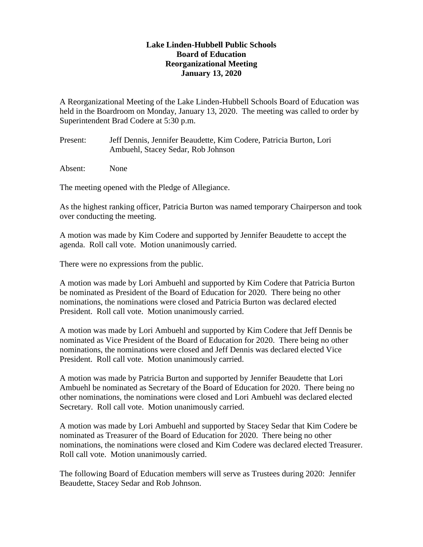## **Lake Linden-Hubbell Public Schools Board of Education Reorganizational Meeting January 13, 2020**

A Reorganizational Meeting of the Lake Linden-Hubbell Schools Board of Education was held in the Boardroom on Monday, January 13, 2020. The meeting was called to order by Superintendent Brad Codere at 5:30 p.m.

Present: Jeff Dennis, Jennifer Beaudette, Kim Codere, Patricia Burton, Lori Ambuehl, Stacey Sedar, Rob Johnson

Absent: None

The meeting opened with the Pledge of Allegiance.

As the highest ranking officer, Patricia Burton was named temporary Chairperson and took over conducting the meeting.

A motion was made by Kim Codere and supported by Jennifer Beaudette to accept the agenda. Roll call vote. Motion unanimously carried.

There were no expressions from the public.

A motion was made by Lori Ambuehl and supported by Kim Codere that Patricia Burton be nominated as President of the Board of Education for 2020. There being no other nominations, the nominations were closed and Patricia Burton was declared elected President. Roll call vote. Motion unanimously carried.

A motion was made by Lori Ambuehl and supported by Kim Codere that Jeff Dennis be nominated as Vice President of the Board of Education for 2020. There being no other nominations, the nominations were closed and Jeff Dennis was declared elected Vice President. Roll call vote. Motion unanimously carried.

A motion was made by Patricia Burton and supported by Jennifer Beaudette that Lori Ambuehl be nominated as Secretary of the Board of Education for 2020. There being no other nominations, the nominations were closed and Lori Ambuehl was declared elected Secretary. Roll call vote. Motion unanimously carried.

A motion was made by Lori Ambuehl and supported by Stacey Sedar that Kim Codere be nominated as Treasurer of the Board of Education for 2020. There being no other nominations, the nominations were closed and Kim Codere was declared elected Treasurer. Roll call vote. Motion unanimously carried.

The following Board of Education members will serve as Trustees during 2020: Jennifer Beaudette, Stacey Sedar and Rob Johnson.